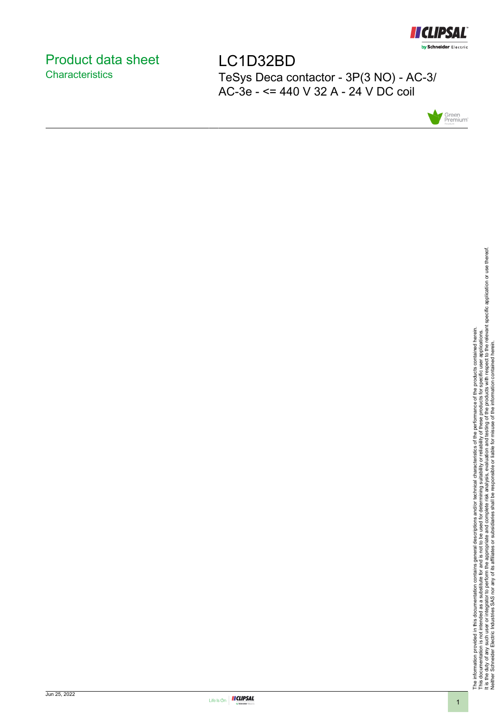

### <span id="page-0-0"></span>Product data sheet **Characteristics**

LC1D32BD TeSys Deca contactor - 3P(3 NO) - AC-3/ AC-3e - <= 440 V 32 A - 24 V DC coil



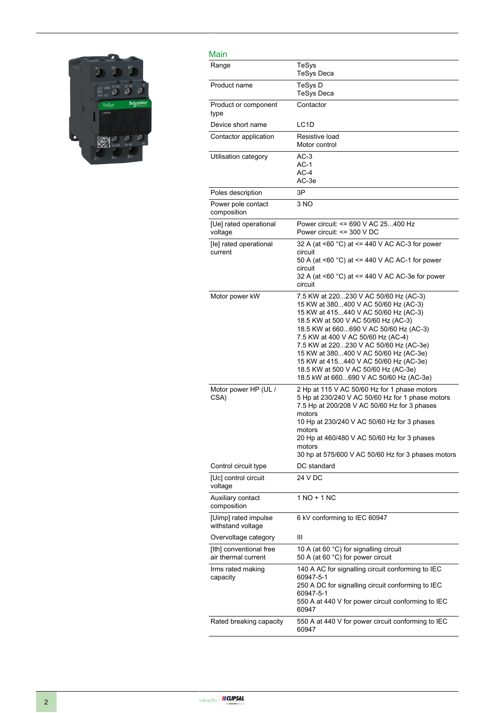

| Main                                           |                                                                                                                                                                                                                                                                                                                                                                                                                                                             |
|------------------------------------------------|-------------------------------------------------------------------------------------------------------------------------------------------------------------------------------------------------------------------------------------------------------------------------------------------------------------------------------------------------------------------------------------------------------------------------------------------------------------|
| Range                                          | TeSys<br><b>TeSys Deca</b>                                                                                                                                                                                                                                                                                                                                                                                                                                  |
| Product name                                   | TeSys D<br><b>TeSys Deca</b>                                                                                                                                                                                                                                                                                                                                                                                                                                |
| Product or component<br>type                   | Contactor                                                                                                                                                                                                                                                                                                                                                                                                                                                   |
| Device short name                              | LC <sub>1</sub> D                                                                                                                                                                                                                                                                                                                                                                                                                                           |
| Contactor application                          | Resistive load<br>Motor control                                                                                                                                                                                                                                                                                                                                                                                                                             |
| Utilisation category                           | $AC-3$<br>$AC-1$<br>$AC-4$<br>AC-3e                                                                                                                                                                                                                                                                                                                                                                                                                         |
| Poles description                              | 3P                                                                                                                                                                                                                                                                                                                                                                                                                                                          |
| Power pole contact<br>composition              | 3 NO                                                                                                                                                                                                                                                                                                                                                                                                                                                        |
| [Ue] rated operational<br>voltage              | Power circuit: <= 690 V AC 25400 Hz<br>Power circuit: <= 300 V DC                                                                                                                                                                                                                                                                                                                                                                                           |
| [le] rated operational<br>current              | 32 A (at <60 °C) at <= 440 V AC AC-3 for power<br>circuit<br>50 A (at <60 $^{\circ}$ C) at <= 440 V AC AC-1 for power<br>circuit<br>32 A (at <60 $^{\circ}$ C) at <= 440 V AC AC-3e for power<br>circuit                                                                                                                                                                                                                                                    |
| Motor power kW                                 | 7.5 KW at 220230 V AC 50/60 Hz (AC-3)<br>15 KW at 380400 V AC 50/60 Hz (AC-3)<br>15 KW at 415440 V AC 50/60 Hz (AC-3)<br>18.5 KW at 500 V AC 50/60 Hz (AC-3)<br>18.5 KW at 660690 V AC 50/60 Hz (AC-3)<br>7.5 KW at 400 V AC 50/60 Hz (AC-4)<br>7.5 KW at 220230 V AC 50/60 Hz (AC-3e)<br>15 KW at 380400 V AC 50/60 Hz (AC-3e)<br>15 KW at 415440 V AC 50/60 Hz (AC-3e)<br>18.5 KW at 500 V AC 50/60 Hz (AC-3e)<br>18.5 kW at 660690 V AC 50/60 Hz (AC-3e) |
| Motor power HP (UL /<br>CSA)                   | 2 Hp at 115 V AC 50/60 Hz for 1 phase motors<br>5 Hp at 230/240 V AC 50/60 Hz for 1 phase motors<br>7.5 Hp at 200/208 V AC 50/60 Hz for 3 phases<br>motors<br>10 Hp at 230/240 V AC 50/60 Hz for 3 phases<br>motors<br>20 Hp at 460/480 V AC 50/60 Hz for 3 phases<br>motors<br>30 hp at 575/600 V AC 50/60 Hz for 3 phases motors                                                                                                                          |
| Control circuit type                           | DC standard                                                                                                                                                                                                                                                                                                                                                                                                                                                 |
| [Uc] control circuit<br>voltage                | 24 V DC                                                                                                                                                                                                                                                                                                                                                                                                                                                     |
| Auxiliary contact<br>composition               | 1 NO + 1 NC                                                                                                                                                                                                                                                                                                                                                                                                                                                 |
| [Uimp] rated impulse<br>withstand voltage      | 6 kV conforming to IEC 60947                                                                                                                                                                                                                                                                                                                                                                                                                                |
| Overvoltage category                           | Ш                                                                                                                                                                                                                                                                                                                                                                                                                                                           |
| [Ith] conventional free<br>air thermal current | 10 A (at 60 °C) for signalling circuit<br>50 A (at 60 °C) for power circuit                                                                                                                                                                                                                                                                                                                                                                                 |
| Irms rated making<br>capacity                  | 140 A AC for signalling circuit conforming to IEC<br>60947-5-1<br>250 A DC for signalling circuit conforming to IEC<br>60947-5-1<br>550 A at 440 V for power circuit conforming to IEC<br>60947                                                                                                                                                                                                                                                             |
| Rated breaking capacity                        | 550 A at 440 V for power circuit conforming to IEC<br>60947                                                                                                                                                                                                                                                                                                                                                                                                 |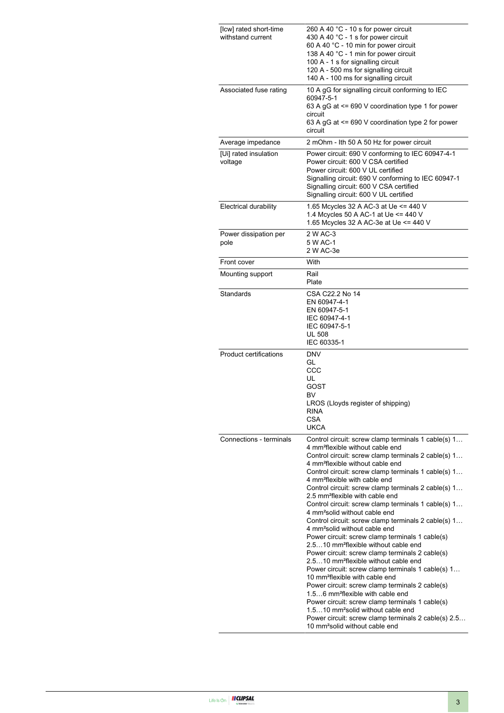| [lcw] rated short-time<br>withstand current | 260 A 40 °C - 10 s for power circuit<br>430 A 40 °C - 1 s for power circuit<br>60 A 40 °C - 10 min for power circuit<br>138 A 40 °C - 1 min for power circuit<br>100 A - 1 s for signalling circuit<br>120 A - 500 ms for signalling circuit<br>140 A - 100 ms for signalling circuit                                                                                                                                                                                                                                                                                                                                                                                                                                                                                                                                                                                                                                                                                                                                                                                                                                                                                                                                                                     |
|---------------------------------------------|-----------------------------------------------------------------------------------------------------------------------------------------------------------------------------------------------------------------------------------------------------------------------------------------------------------------------------------------------------------------------------------------------------------------------------------------------------------------------------------------------------------------------------------------------------------------------------------------------------------------------------------------------------------------------------------------------------------------------------------------------------------------------------------------------------------------------------------------------------------------------------------------------------------------------------------------------------------------------------------------------------------------------------------------------------------------------------------------------------------------------------------------------------------------------------------------------------------------------------------------------------------|
| Associated fuse rating                      | 10 A gG for signalling circuit conforming to IEC<br>60947-5-1<br>63 A gG at $\leq$ 690 V coordination type 1 for power<br>circuit<br>63 A gG at <= 690 V coordination type 2 for power<br>circuit                                                                                                                                                                                                                                                                                                                                                                                                                                                                                                                                                                                                                                                                                                                                                                                                                                                                                                                                                                                                                                                         |
| Average impedance                           | 2 mOhm - Ith 50 A 50 Hz for power circuit                                                                                                                                                                                                                                                                                                                                                                                                                                                                                                                                                                                                                                                                                                                                                                                                                                                                                                                                                                                                                                                                                                                                                                                                                 |
| [Ui] rated insulation<br>voltage            | Power circuit: 690 V conforming to IEC 60947-4-1<br>Power circuit: 600 V CSA certified<br>Power circuit: 600 V UL certified<br>Signalling circuit: 690 V conforming to IEC 60947-1<br>Signalling circuit: 600 V CSA certified<br>Signalling circuit: 600 V UL certified                                                                                                                                                                                                                                                                                                                                                                                                                                                                                                                                                                                                                                                                                                                                                                                                                                                                                                                                                                                   |
| <b>Electrical durability</b>                | 1.65 Mcycles 32 A AC-3 at Ue <= 440 V<br>1.4 Mcycles 50 A AC-1 at Ue <= 440 V<br>1.65 Mcycles 32 A AC-3e at Ue <= 440 V                                                                                                                                                                                                                                                                                                                                                                                                                                                                                                                                                                                                                                                                                                                                                                                                                                                                                                                                                                                                                                                                                                                                   |
| Power dissipation per<br>pole               | 2 W AC-3<br>5 W AC-1<br>2 W AC-3e                                                                                                                                                                                                                                                                                                                                                                                                                                                                                                                                                                                                                                                                                                                                                                                                                                                                                                                                                                                                                                                                                                                                                                                                                         |
| Front cover                                 | With                                                                                                                                                                                                                                                                                                                                                                                                                                                                                                                                                                                                                                                                                                                                                                                                                                                                                                                                                                                                                                                                                                                                                                                                                                                      |
| Mounting support                            | Rail<br>Plate                                                                                                                                                                                                                                                                                                                                                                                                                                                                                                                                                                                                                                                                                                                                                                                                                                                                                                                                                                                                                                                                                                                                                                                                                                             |
| Standards                                   | CSA C22.2 No 14<br>EN 60947-4-1<br>EN 60947-5-1<br>IEC 60947-4-1<br>IEC 60947-5-1<br><b>UL 508</b><br>IEC 60335-1                                                                                                                                                                                                                                                                                                                                                                                                                                                                                                                                                                                                                                                                                                                                                                                                                                                                                                                                                                                                                                                                                                                                         |
| <b>Product certifications</b>               | <b>DNV</b><br>GL<br>CCC<br>UL<br>GOST<br>BV<br>LROS (Lloyds register of shipping)<br><b>RINA</b><br><b>CSA</b><br><b>UKCA</b>                                                                                                                                                                                                                                                                                                                                                                                                                                                                                                                                                                                                                                                                                                                                                                                                                                                                                                                                                                                                                                                                                                                             |
| Connections - terminals                     | Control circuit: screw clamp terminals 1 cable(s) 1<br>4 mm <sup>2</sup> flexible without cable end<br>Control circuit: screw clamp terminals 2 cable(s) 1<br>4 mm <sup>2</sup> flexible without cable end<br>Control circuit: screw clamp terminals 1 cable(s) 1<br>4 mm <sup>2</sup> flexible with cable end<br>Control circuit: screw clamp terminals 2 cable(s) 1<br>2.5 mm <sup>2</sup> flexible with cable end<br>Control circuit: screw clamp terminals 1 cable(s) 1<br>4 mm <sup>2</sup> solid without cable end<br>Control circuit: screw clamp terminals 2 cable(s) 1<br>4 mm <sup>2</sup> solid without cable end<br>Power circuit: screw clamp terminals 1 cable(s)<br>2.510 mm <sup>2</sup> flexible without cable end<br>Power circuit: screw clamp terminals 2 cable(s)<br>2.510 mm <sup>2</sup> flexible without cable end<br>Power circuit: screw clamp terminals 1 cable(s) 1<br>10 mm <sup>2</sup> flexible with cable end<br>Power circuit: screw clamp terminals 2 cable(s)<br>1.56 mm <sup>2</sup> flexible with cable end<br>Power circuit: screw clamp terminals 1 cable(s)<br>1.510 mm <sup>2</sup> solid without cable end<br>Power circuit: screw clamp terminals 2 cable(s) 2.5<br>10 mm <sup>2</sup> solid without cable end |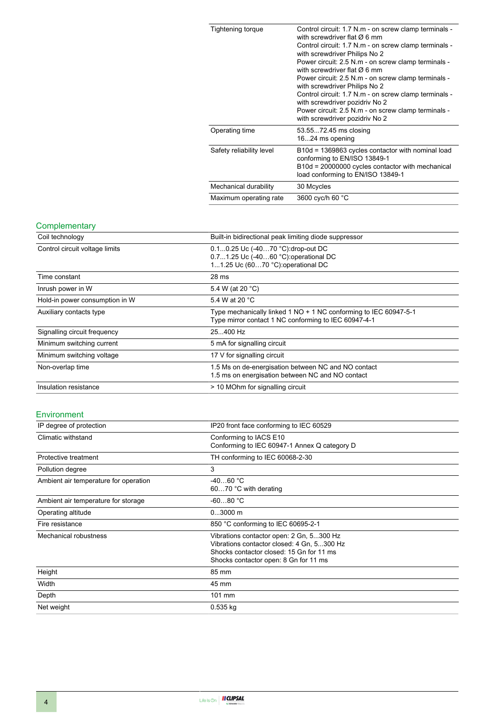| Tightening torque        | Control circuit: 1.7 N.m - on screw clamp terminals -<br>with screwdriver flat $\varnothing$ 6 mm<br>Control circuit: 1.7 N.m - on screw clamp terminals -<br>with screwdriver Philips No 2<br>Power circuit: 2.5 N.m - on screw clamp terminals -<br>with screwdriver flat $\varnothing$ 6 mm<br>Power circuit: 2.5 N.m - on screw clamp terminals -<br>with screwdriver Philips No 2<br>Control circuit: 1.7 N.m - on screw clamp terminals -<br>with screwdriver pozidriv No 2<br>Power circuit: 2.5 N.m - on screw clamp terminals -<br>with screwdriver pozidriv No 2 |
|--------------------------|----------------------------------------------------------------------------------------------------------------------------------------------------------------------------------------------------------------------------------------------------------------------------------------------------------------------------------------------------------------------------------------------------------------------------------------------------------------------------------------------------------------------------------------------------------------------------|
| Operating time           | 53.5572.45 ms closing<br>1624 ms opening                                                                                                                                                                                                                                                                                                                                                                                                                                                                                                                                   |
| Safety reliability level | B10d = 1369863 cycles contactor with nominal load<br>conforming to EN/ISO 13849-1<br>B10d = 20000000 cycles contactor with mechanical<br>load conforming to EN/ISO 13849-1                                                                                                                                                                                                                                                                                                                                                                                                 |
| Mechanical durability    | 30 Mcycles                                                                                                                                                                                                                                                                                                                                                                                                                                                                                                                                                                 |
| Maximum operating rate   | 3600 cyc/h 60 °C                                                                                                                                                                                                                                                                                                                                                                                                                                                                                                                                                           |

#### **Complementary**

| Coil technology                | Built-in bidirectional peak limiting diode suppressor                                                                    |  |
|--------------------------------|--------------------------------------------------------------------------------------------------------------------------|--|
| Control circuit voltage limits | 0.10.25 Uc (-4070 °C) drop-out DC<br>0.71.25 Uc (-4060 °C): operational DC<br>11.25 Uc (6070 °C): operational DC         |  |
| Time constant                  | 28 ms                                                                                                                    |  |
| Inrush power in W              | 5.4 W (at 20 °C)                                                                                                         |  |
| Hold-in power consumption in W | 5.4 W at 20 °C                                                                                                           |  |
| Auxiliary contacts type        | Type mechanically linked 1 NO + 1 NC conforming to IEC 60947-5-1<br>Type mirror contact 1 NC conforming to IEC 60947-4-1 |  |
| Signalling circuit frequency   | 25400 Hz                                                                                                                 |  |
| Minimum switching current      | 5 mA for signalling circuit                                                                                              |  |
| Minimum switching voltage      | 17 V for signalling circuit                                                                                              |  |
| Non-overlap time               | 1.5 Ms on de-energisation between NC and NO contact<br>1.5 ms on energisation between NC and NO contact                  |  |
| Insulation resistance          | > 10 MOhm for signalling circuit                                                                                         |  |

#### Environment

| IP degree of protection               | IP20 front face conforming to IEC 60529                                                                                                                                     |  |
|---------------------------------------|-----------------------------------------------------------------------------------------------------------------------------------------------------------------------------|--|
| Climatic withstand                    | Conforming to IACS E10<br>Conforming to IEC 60947-1 Annex Q category D                                                                                                      |  |
| Protective treatment                  | TH conforming to IEC 60068-2-30                                                                                                                                             |  |
| Pollution degree                      | 3                                                                                                                                                                           |  |
| Ambient air temperature for operation | $-4060 °C$<br>6070 °C with derating                                                                                                                                         |  |
| Ambient air temperature for storage   | $-6080 °C$                                                                                                                                                                  |  |
| Operating altitude                    | $03000$ m                                                                                                                                                                   |  |
| Fire resistance                       | 850 °C conforming to IEC 60695-2-1                                                                                                                                          |  |
| Mechanical robustness                 | Vibrations contactor open: 2 Gn, 5300 Hz<br>Vibrations contactor closed: 4 Gn, 5300 Hz<br>Shocks contactor closed: 15 Gn for 11 ms<br>Shocks contactor open: 8 Gn for 11 ms |  |
| Height                                | 85 mm                                                                                                                                                                       |  |
| Width                                 | 45 mm                                                                                                                                                                       |  |
| Depth                                 | 101 mm                                                                                                                                                                      |  |
| Net weight                            | $0.535$ kg                                                                                                                                                                  |  |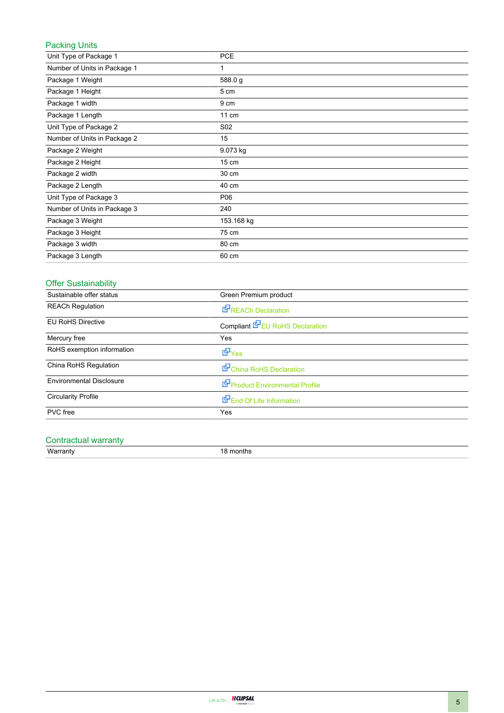#### Packing Units

| Unit Type of Package 1       | <b>PCE</b>      |
|------------------------------|-----------------|
| Number of Units in Package 1 | 1               |
| Package 1 Weight             | 588.0 g         |
| Package 1 Height             | 5 cm            |
| Package 1 width              | 9 cm            |
| Package 1 Length             | 11 cm           |
| Unit Type of Package 2       | S02             |
| Number of Units in Package 2 | 15              |
| Package 2 Weight             | 9.073 kg        |
| Package 2 Height             | $15 \text{ cm}$ |
| Package 2 width              | 30 cm           |
| Package 2 Length             | 40 cm           |
| Unit Type of Package 3       | P06             |
| Number of Units in Package 3 | 240             |
| Package 3 Weight             | 153.168 kg      |
| Package 3 Height             | 75 cm           |
| Package 3 width              | 80 cm           |
| Package 3 Length             | 60 cm           |

#### Offer Sustainability

| Sustainable offer status        | Green Premium product                  |  |
|---------------------------------|----------------------------------------|--|
| <b>REACh Regulation</b>         | <b>REACh Declaration</b>               |  |
| <b>EU RoHS Directive</b>        | Compliant <b>E</b> EU RoHS Declaration |  |
| Mercury free                    | Yes                                    |  |
| RoHS exemption information      | <b>E</b> Yes                           |  |
| China RoHS Regulation           | China RoHS Declaration                 |  |
| <b>Environmental Disclosure</b> | Product Environmental Profile          |  |
| <b>Circularity Profile</b>      | End Of Life Information                |  |
| PVC free                        | Yes                                    |  |

# Contractual warranty<br>Warranty

18 months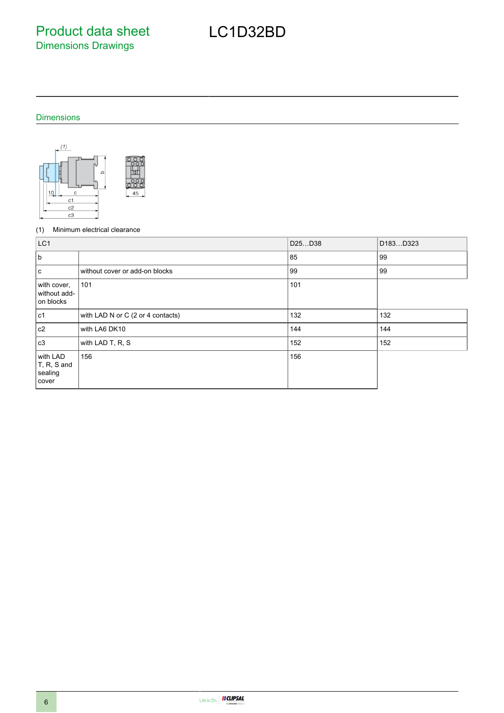Product data sheet Dimensions Drawings

## LC1D32BD

#### Dimensions



#### (1) Minimum electrical clearance

| LC1                                             |                                   | D25D38 | D183D323 |
|-------------------------------------------------|-----------------------------------|--------|----------|
| b                                               |                                   | 85     | 99       |
| l c                                             | without cover or add-on blocks    | 99     | 99       |
| with cover,<br>without add-<br>on blocks        | 101                               | 101    |          |
| lc1                                             | with LAD N or C (2 or 4 contacts) | 132    | 132      |
| c2                                              | with LA6 DK10                     | 144    | 144      |
| c3                                              | with LAD T, R, S                  | 152    | 152      |
| with LAD<br>$T, R, S$ and<br>sealing<br>  cover | 156                               | 156    |          |